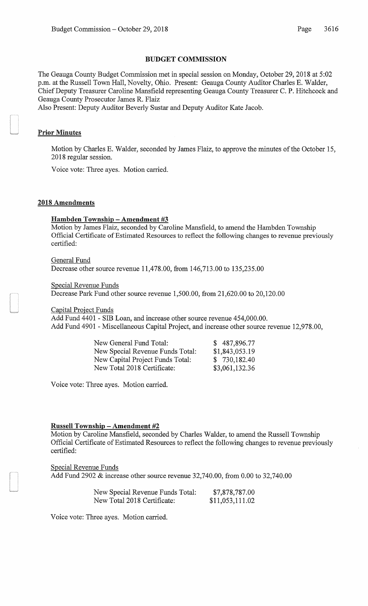#### BUDGET COMMISSION

The Geauga County Budget Commission met in special session on Monday, October 29, 2018 at 5:02 p.m. at the Russell Town Hall, Novelty, Ohio. Present: Geauga County Auditor Charles E. Walder, Chief Deputy Treasurer Caroline Mansfield representing Geauga County Treasurer C. P. Hitchcock and Geauga County Prosecutor James R. Flaiz

Also Present: Deputy Auditor Beverly Sustar and Deputy Auditor Kate Jacob.

### Prior Minutes

Motion by Charles E. Walder, seconded by James Flaiz, to approve the minutes of the October 15, 2018 regular session.

Voice vote: Three ayes. Motion carried.

#### 2018 Amendments

#### Hambden Township - Amendment #3

Motion by James Flaiz, seconded by Caroline Mansfield, to amend the Hambden Township Official Certificate of Estimated Resources to reflect the following changes to revenue previously certified:

General Fund Decrease other source revenue 11,478.00, from 146,713.00 to 135,235.00

Special Revenue Funds

Decrease Park Fund other source revenue 1,500.00, from 21,620.00 to 20,120.00

Capital Project Funds

Add Fund 4401 -SIB Loan, and increase other source revenue 454,000.00. Add Fund 4901 - Miscellaneous Capital Project, and increase other source revenue 12,978.00,

| New General Fund Total:          | \$487,896.77   |
|----------------------------------|----------------|
| New Special Revenue Funds Total: | \$1,843,053.19 |
| New Capital Project Funds Total: | \$730,182.40   |
| New Total 2018 Certificate:      | \$3,061,132.36 |

Voice vote: Three ayes. Motion carried.

#### Russell Township **-Amendment #2**

Motion by Caroline Mansfield, seconded by Charles Walder, to amend the Russell Township Official Certificate of Estimated Resources to reflect the following changes to revenue previously certified:

Special Revenue Funds Add Fund 2902 & increase other source revenue 32,740.00, from 0.00 to 32,740.00

| New Special Revenue Funds Total: | \$7,878,787.00  |
|----------------------------------|-----------------|
| New Total 2018 Certificate:      | \$11,053,111.02 |

Voice vote: Three ayes. Motion carried.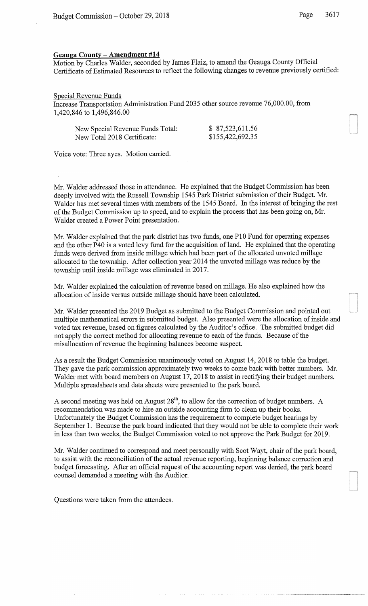# Geauga County- Amendment #14

Motion by Charles Walder, seconded by James Flaiz, to amend the Geauga County Official Certificate of Estimated Resources to reflect the following changes to revenue previously certified:

## Special Revenue Funds

Increase Transportation Administration Fund 2035 other source revenue 76,000.00, from 1,420,846 to 1,496,846.00

| New Special Revenue Funds Total: | \$87,523,611.56  |
|----------------------------------|------------------|
| New Total 2018 Certificate:      | \$155,422,692.35 |

Voice vote: Three ayes. Motion carried.

Mr. Walder addressed those in attendance. He explained that the Budget Commission has been deeply involved with the Russell Township 1545 Park District submission of their Budget. Mr. Walder has met several times with members of the 1545 Board. In the interest of bringing the rest of the Budget Commission up to speed, and to explain the process that has been going on, Mr. Walder created a Power Point presentation.

Mr. Walder explained that the park district has two funds, one P10 Fund for operating expenses and the other P40 is a voted levy fund for the acquisition of land. He explained that the operating funds were derived from inside millage which had been part of the allocated unvoted millage allocated to the township. After collection year 2014 the unvoted millage was reduce by the township until inside millage was eliminated in 2017.

Mr. Walder explained the calculation of revenue based on millage. He also explained how the allocation of inside versus outside millage should have been calculated.

Mr. Walder presented the 2019 Budget as submitted to the Budget Commission and pointed out multiple mathematical errors in submitted budget. Also presented were the allocation of inside and voted tax revenue, based on figures calculated by the Auditor's office. The submitted budget did not apply the correct method for allocating revenue to each of the funds. Because of the misallocation of revenue the beginning balances become suspect.

As a result the Budget Commission unanimously voted on August 14, 2018 to table the budget. They gave the park commission approximately two weeks to come back with better numbers. Mr. Walder met with board members on August 17, 2018 to assist in rectifying their budget numbers. Multiple spreadsheets and data sheets were presented to the park board.

A second meeting was held on August  $28<sup>th</sup>$ , to allow for the correction of budget numbers. A recommendation was made to hire an outside accounting firm to clean up their books. Unfortunately the Budget Commission has the requirement to complete budget hearings by September 1. Because the park board indicated that they would not be able to complete their work in less than two weeks, the Budget Commission voted to not approve the Park Budget for 2019.

Mr. Walder continued to correspond and meet personally with Scot Wayt, chair of the park board, to assist with the reconciliation of the actual revenue reporting, beginning balance correction and budget forecasting. After an official request of the accounting report was denied, the park board counsel demanded a meeting with the Auditor.

Questions were taken from the attendees.